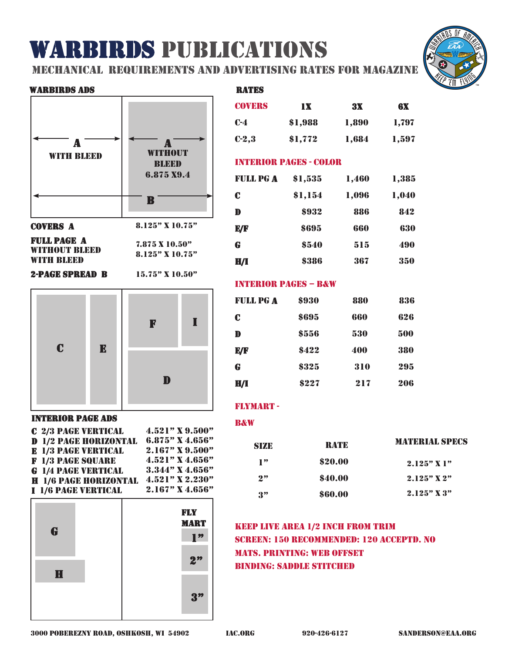# warbirds publications

mechanical requirements and advertising rates for magazine

rates

#### warbirds ads



full page a without bleed with bleed

8.125" x 10.75"

7.875 x 10.50"

### 2-page spread b

15.75" x 10.50"



# interior page ads

| <b>C 2/3 PAGE VERTICAL</b>   | 4.521" X 9.500"   |
|------------------------------|-------------------|
| <b>D</b> 1/2 PAGE HORIZONTAL | 6.875" X 4.656"   |
| <b>E</b> 1/3 PAGE VERTICAL   | 2.167" X 9.500"   |
| <b>F</b> 1/3 PAGE SQUARE     | 4.521" X 4.656"   |
| <b>G</b> 1/4 PAGE VERTICAL   | $3.344"$ X 4.656" |
| <b>H</b> 1/6 PAGE HORIZONTAL | $4.521"$ X 2.230" |
| <b>I 1/6 PAGE VERTICAL</b>   | $2.167"$ X 4.656" |



| <b>COVERS</b>                   | <b>1X</b> | 3X    | 6X    |  |
|---------------------------------|-----------|-------|-------|--|
| $C-4$                           | \$1,988   | 1,890 | 1,797 |  |
| $C-2,3$                         | \$1,772   | 1,684 | 1,597 |  |
| <b>INTERIOR PAGES - COLOR</b>   |           |       |       |  |
| <b>FULL PG A</b>                | \$1,535   | 1,460 | 1,385 |  |
| C                               | \$1,154   | 1,096 | 1,040 |  |
| D                               | \$932     | 886   | 842   |  |
| E/F                             | \$695     | 660   | 630   |  |
| G                               | \$540     | 515   | 490   |  |
| H/I                             | \$386     | 367   | 350   |  |
| <b>INTERIOR PAGES - B&amp;W</b> |           |       |       |  |
| <b>FULL PG A</b>                | \$930     | 880   | 836   |  |
| $\mathbf c$                     | \$695     | 660   | 626   |  |
| D                               | \$556     | 530   | 500   |  |
| E/F                             | \$422     | 400   | 380   |  |
| G                               | \$325     | 310   | 295   |  |
| H/I                             | \$227     | 217   | 206   |  |
|                                 |           |       |       |  |

### flymart -

#### **B&W**

| SIZE                  | <b>RATE</b> | <b>MATERIAL SPECS</b> |  |
|-----------------------|-------------|-----------------------|--|
| $\mathbf{P}^{\prime}$ | \$20.00     | $2.125"$ X 1"         |  |
| 2"                    | \$40.00     | $2.125"$ X $2"$       |  |
| 3"                    | \$60.00     | $2.125"$ X $3"$       |  |

# keep live area 1/2 inch from trim screen: 150 recommended: 120 acceptd. no mats. printing: web offset binding: saddle stitched